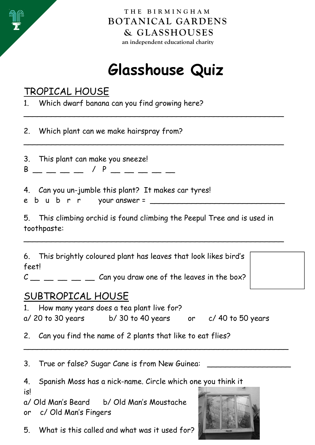

**THE BIRMINGHAM BOTANICAL GARDENS & GLASSHOUSES an independent educational charity** 

# **Glasshouse Quiz**

\_\_\_\_\_\_\_\_\_\_\_\_\_\_\_\_\_\_\_\_\_\_\_\_\_\_\_\_\_\_\_\_\_\_\_\_\_\_\_\_\_\_\_\_\_\_\_\_\_\_\_\_\_\_\_\_

\_\_\_\_\_\_\_\_\_\_\_\_\_\_\_\_\_\_\_\_\_\_\_\_\_\_\_\_\_\_\_\_\_\_\_\_\_\_\_\_\_\_\_\_\_\_\_\_\_\_\_\_\_\_\_\_

## TROPICAL HOUSE

1. Which dwarf banana can you find growing here?

2. Which plant can we make hairspray from?

3. This plant can make you sneeze!

 $B = \_ = \_ ' \_ ' P = \_ = \_ = \_$ 

4. Can you un-jumble this plant? It makes car tyres!

 $e$  b u b r r your answer =  $\frac{1}{e}$ 

5. This climbing orchid is found climbing the Peepul Tree and is used in toothpaste:

\_\_\_\_\_\_\_\_\_\_\_\_\_\_\_\_\_\_\_\_\_\_\_\_\_\_\_\_\_\_\_\_\_\_\_\_\_\_\_\_\_\_\_\_\_\_\_\_\_\_\_\_\_\_\_\_

6. This brightly coloured plant has leaves that look likes bird's feet!

 $C_{\text{max}} = 2$  an you draw one of the leaves in the box?

#### SUBTROPICAL HOUSE

1. How many years does a tea plant live for?

 $a/$  20 to 30 years b/ 30 to 40 years or  $c/$  40 to 50 years

\_\_\_\_\_\_\_\_\_\_\_\_\_\_\_\_\_\_\_\_\_\_\_\_\_\_\_\_\_\_\_\_\_\_\_\_\_\_\_\_\_\_\_\_\_\_\_\_\_\_\_\_\_\_\_\_\_

2. Can you find the name of 2 plants that like to eat flies?

3. True or false? Sugar Cane is from New Guinea:

4. Spanish Moss has a nick-name. Circle which one you think it is!

a/ Old Man's Beard b/ Old Man's Moustache or c/ Old Man's Fingers

5. What is this called and what was it used for?